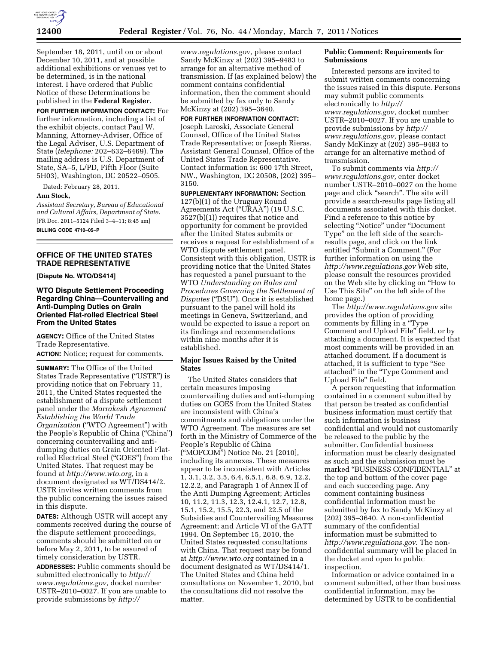

September 18, 2011, until on or about December 10, 2011, and at possible additional exhibitions or venues yet to be determined, is in the national interest. I have ordered that Public Notice of these Determinations be published in the **Federal Register**.

**FOR FURTHER INFORMATION CONTACT:** For further information, including a list of the exhibit objects, contact Paul W. Manning, Attorney-Adviser, Office of the Legal Adviser, U.S. Department of State (*telephone:* 202–632–6469). The mailing address is U.S. Department of State, SA–5, L/PD, Fifth Floor (Suite 5H03), Washington, DC 20522–0505.

Dated: February 28, 2011.

#### **Ann Stock,**

*Assistant Secretary, Bureau of Educational and Cultural Affairs, Department of State.*  [FR Doc. 2011–5124 Filed 3–4–11; 8:45 am]

**BILLING CODE 4710–05–P** 

#### **OFFICE OF THE UNITED STATES TRADE REPRESENTATIVE**

**[Dispute No. WTO/DS414]** 

# **WTO Dispute Settlement Proceeding Regarding China—Countervailing and Anti-Dumping Duties on Grain Oriented Flat-rolled Electrical Steel From the United States**

**AGENCY:** Office of the United States Trade Representative.

**ACTION:** Notice; request for comments.

**SUMMARY:** The Office of the United States Trade Representative (''USTR'') is providing notice that on February 11, 2011, the United States requested the establishment of a dispute settlement panel under the *Marrakesh Agreement Establishing the World Trade Organization* (''WTO Agreement'') with the People's Republic of China (''China'') concerning countervailing and antidumping duties on Grain Oriented Flatrolled Electrical Steel (''GOES'') from the United States. That request may be found at *[http://www.wto.org,](http://www.wto.org)* in a document designated as WT/DS414/2. USTR invites written comments from the public concerning the issues raised in this dispute.

**DATES:** Although USTR will accept any comments received during the course of the dispute settlement proceedings, comments should be submitted on or before May 2, 2011, to be assured of timely consideration by USTR.

**ADDRESSES:** Public comments should be submitted electronically to *[http://](http://www.regulations.gov)  [www.regulations.gov,](http://www.regulations.gov)* docket number USTR–2010–0027. If you are unable to provide submissions by *[http://](http://www.regulations.gov)* 

*[www.regulations.gov,](http://www.regulations.gov)* please contact Sandy McKinzy at (202) 395–9483 to arrange for an alternative method of transmission. If (as explained below) the comment contains confidential information, then the comment should be submitted by fax only to Sandy McKinzy at (202) 395–3640.

**FOR FURTHER INFORMATION CONTACT:**  Joseph Laroski, Associate General Counsel, Office of the United States Trade Representative; or Joseph Rieras, Assistant General Counsel, Office of the United States Trade Representative. Contact information is: 600 17th Street, NW., Washington, DC 20508, (202) 395– 3150.

**SUPPLEMENTARY INFORMATION:** Section 127(b)(1) of the Uruguay Round Agreements Act (''URAA'') (19 U.S.C. 3527(b)(1)) requires that notice and opportunity for comment be provided after the United States submits or receives a request for establishment of a WTO dispute settlement panel. Consistent with this obligation, USTR is providing notice that the United States has requested a panel pursuant to the WTO *Understanding on Rules and Procedures Governing the Settlement of Disputes* (''DSU''). Once it is established pursuant to the panel will hold its meetings in Geneva, Switzerland, and would be expected to issue a report on its findings and recommendations within nine months after it is established.

### **Major Issues Raised by the United States**

The United States considers that certain measures imposing countervailing duties and anti-dumping duties on GOES from the United States are inconsistent with China's commitments and obligations under the WTO Agreement. The measures are set forth in the Ministry of Commerce of the People's Republic of China (''MOFCOM'') Notice No. 21 [2010], including its annexes. These measures appear to be inconsistent with Articles 1, 3.1, 3.2, 3.5, 6.4, 6.5.1, 6.8, 6.9, 12.2, 12.2.2, and Paragraph 1 of Annex II of the Anti Dumping Agreement; Articles 10, 11.2, 11.3, 12.3, 12.4.1, 12.7, 12.8, 15.1, 15.2, 15.5, 22.3, and 22.5 of the Subsidies and Countervailing Measures Agreement; and Article VI of the GATT 1994. On September 15, 2010, the United States requested consultations with China. That request may be found at *<http://www.wto.org>*contained in a document designated as WT/DS414/1. The United States and China held consultations on November 1, 2010, but the consultations did not resolve the matter.

### **Public Comment: Requirements for Submissions**

Interested persons are invited to submit written comments concerning the issues raised in this dispute. Persons may submit public comments electronically to *[http://](http://www.regulations.gov)  [www.regulations.gov](http://www.regulations.gov)*, docket number USTR–2010–0027. If you are unable to provide submissions by *[http://](http://www.regulations.gov)  [www.regulations.gov,](http://www.regulations.gov)* please contact Sandy McKinzy at (202) 395–9483 to arrange for an alternative method of transmission.

To submit comments via *[http://](http://www.regulations.gov)  [www.regulations.gov,](http://www.regulations.gov)* enter docket number USTR–2010–0027 on the home page and click ''search''. The site will provide a search-results page listing all documents associated with this docket. Find a reference to this notice by selecting ''Notice'' under ''Document Type'' on the left side of the searchresults page, and click on the link entitled "Submit a Comment." (For further information on using the *<http://www.regulations.gov>* Web site, please consult the resources provided on the Web site by clicking on ''How to Use This Site'' on the left side of the home page.)

The *<http://www.regulations.gov>*site provides the option of providing comments by filling in a "Type Comment and Upload File'' field, or by attaching a document. It is expected that most comments will be provided in an attached document. If a document is attached, it is sufficient to type ''See attached'' in the ''Type Comment and Upload File'' field.

A person requesting that information contained in a comment submitted by that person be treated as confidential business information must certify that such information is business confidential and would not customarily be released to the public by the submitter. Confidential business information must be clearly designated as such and the submission must be marked ''BUSINESS CONFIDENTIAL'' at the top and bottom of the cover page and each succeeding page. Any comment containing business confidential information must be submitted by fax to Sandy McKinzy at (202) 395–3640. A non-confidential summary of the confidential information must be submitted to *<http://www.regulations.gov>*. The nonconfidential summary will be placed in the docket and open to public inspection.

Information or advice contained in a comment submitted, other than business confidential information, may be determined by USTR to be confidential